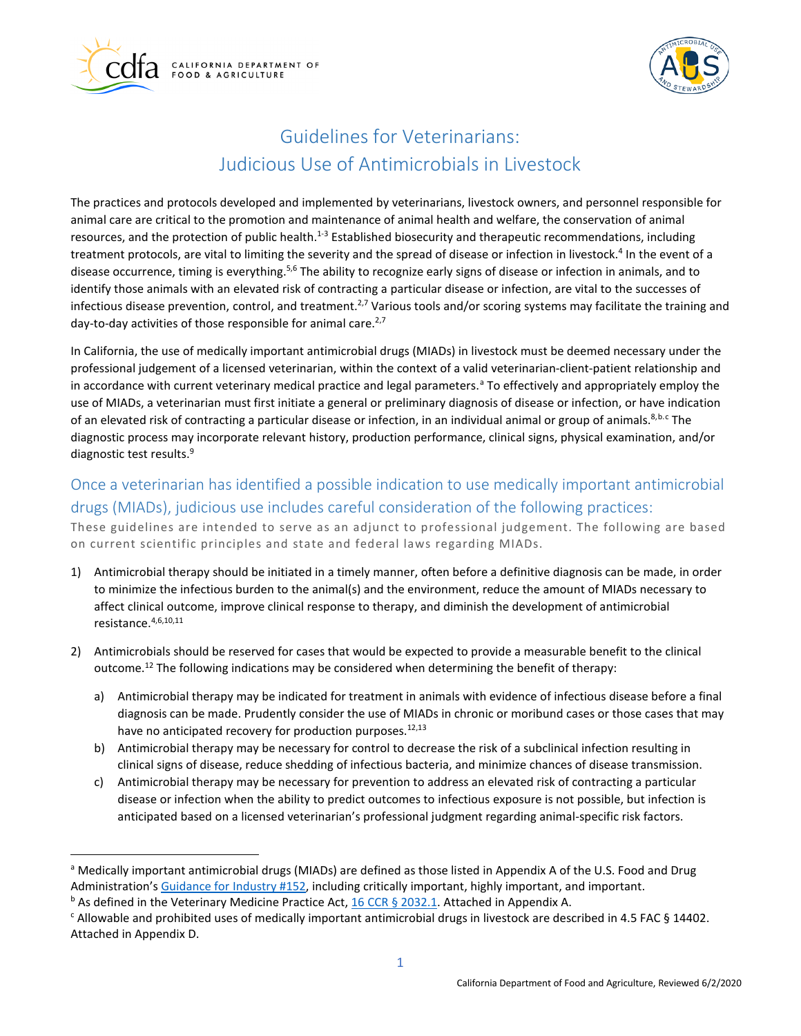



# Guidelines for Veterinarians: Judicious Use of Antimicrobials in Livestock

The practices and protocols developed and implemented by veterinarians, livestock owners, and personnel responsible for animal care are critical to the promotion and maintenance of animal health and welfare, the conservation of animal resources, and the protection of public health.<sup>1-3</sup> Established biosecurity and therapeutic recommendations, including treatment protocols, are vital to limiting the severity and the spread of disease or infection in livestock.<sup>4</sup> In the event of a disease occurrence, timing is everything.<sup>5,6</sup> The ability to recognize early signs of disease or infection in animals, and to identify those animals with an elevated risk of contracting a particular disease or infection, are vital to the successes of infectious disease prevention, control, and treatment.<sup>2,7</sup> Various tools and/or scoring systems may facilitate the training and day-to-day activities of those responsible for animal care. $2,7$ 

In California, the use of medically important antimicrobial drugs (MIADs) in livestock must be deemed necessary under the professional judgement of a licensed veterinarian, within the context of a valid veterinarian-client-patient relationship and in [a](#page-0-0)ccordance with current veterinary medical practice and legal parameters.<sup>a</sup> To effectively and appropriately employ the use of MIADs, a veterinarian must first initiate a general or preliminary diagnosis of disease or infection, or have indication of an elevated risk of contracting a particular disease or infection, in an individual animal or group of animals.<sup>8,[b.](#page-0-1)[c](#page-0-2)</sup> The diagnostic process may incorporate relevant history, production performance, clinical signs, physical examination, and/or diagnostic test results.<sup>9</sup>

# Once a veterinarian has identified a possible indication to use medically important antimicrobial drugs (MIADs), judicious use includes careful consideration of the following practices:

These guidelines are intended to serve as an adjunct to professional judgement. The following are based on current scientific principles and state and federal laws regarding MIADs.

- 1) Antimicrobial therapy should be initiated in a timely manner, often before a definitive diagnosis can be made, in order to minimize the infectious burden to the animal(s) and the environment, reduce the amount of MIADs necessary to affect clinical outcome, improve clinical response to therapy, and diminish the development of antimicrobial resistance.4,6,10,11
- 2) Antimicrobials should be reserved for cases that would be expected to provide a measurable benefit to the clinical outcome.<sup>12</sup> The following indications may be considered when determining the benefit of therapy:
	- a) Antimicrobial therapy may be indicated for treatment in animals with evidence of infectious disease before a final diagnosis can be made. Prudently consider the use of MIADs in chronic or moribund cases or those cases that may have no anticipated recovery for production purposes.<sup>12,13</sup>
	- b) Antimicrobial therapy may be necessary for control to decrease the risk of a subclinical infection resulting in clinical signs of disease, reduce shedding of infectious bacteria, and minimize chances of disease transmission.
	- c) Antimicrobial therapy may be necessary for prevention to address an elevated risk of contracting a particular disease or infection when the ability to predict outcomes to infectious exposure is not possible, but infection is anticipated based on a licensed veterinarian's professional judgment regarding animal-specific risk factors.

<span id="page-0-0"></span><sup>&</sup>lt;sup>a</sup> Medically important antimicrobial drugs (MIADs) are defined as those listed in Appendix A of the U.S. Food and Drug Administration's *Guidance for Industry #152*, includi[ng critically impor](https://govt.westlaw.com/calregs/Document/I36A945193D474BD7B5EDAA3EB2771937?viewType=FullText&originationContext=documenttoc&transitionType=CategoryPageItem&contextData=(sc.Default)&bhcp=1)tant, highly important, and important.<br><sup>b</sup> As defined in the Veterinary Medicine Practice Act, <u>16 CCR § 2032.1</u>. Attached in Appendix A.<br><sup>c</sup> Allowa

<span id="page-0-1"></span>

<span id="page-0-2"></span>Attached in Appendix D.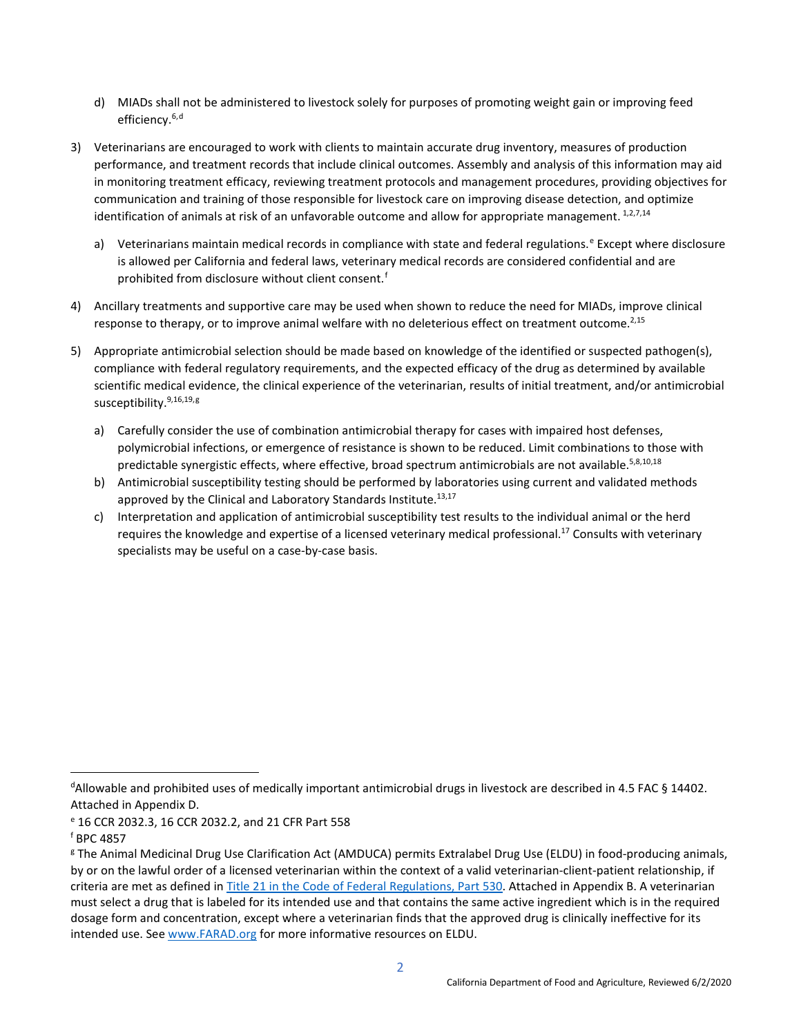- d) MIADs shall not be administered to livestock solely for purposes of promoting weight gain or improving feed efficiency.<sup>6,[d](#page-1-0)</sup>
- 3) Veterinarians are encouraged to work with clients to maintain accurate drug inventory, measures of production performance, and treatment records that include clinical outcomes. Assembly and analysis of this information may aid in monitoring treatment efficacy, reviewing treatment protocols and management procedures, providing objectives for communication and training of those responsible for livestock care on improving disease detection, and optimize identification of animals at risk of an unfavorable outcome and allow for appropriate management. 1,2,7,14
	- a) V[e](#page-1-1)terinarians maintain medical records in compliance with state and federal regulations.<sup>e</sup> Except where disclosure is allowed per California and federal laws, veterinary medical records are considered confidential and are prohibited [f](#page-1-2)rom disclosure without client consent.<sup>f</sup>
- 4) Ancillary treatments and supportive care may be used when shown to reduce the need for MIADs, improve clinical response to therapy, or to improve animal welfare with no deleterious effect on treatment outcome.<sup>2,15</sup>
- 5) Appropriate antimicrobial selection should be made based on knowledge of the identified or suspected pathogen(s), compliance with federal regulatory requirements, and the expected efficacy of the drug as determined by available scientific medical evidence, the clinical experience of the veterinarian, results of initial treatment, and/or antimicrobial susceptibility.9,16,19,[g](#page-1-3) 
	- a) Carefully consider the use of combination antimicrobial therapy for cases with impaired host defenses, polymicrobial infections, or emergence of resistance is shown to be reduced. Limit combinations to those with predictable synergistic effects, where effective, broad spectrum antimicrobials are not available.<sup>5,8,10,18</sup>
	- b) Antimicrobial susceptibility testing should be performed by laboratories using current and validated methods approved by the Clinical and Laboratory Standards Institute.<sup>13,17</sup>
	- c) Interpretation and application of antimicrobial susceptibility test results to the individual animal or the herd requires the knowledge and expertise of a licensed veterinary medical professional.<sup>17</sup> Consults with veterinary specialists may be useful on a case-by-case basis.

<span id="page-1-0"></span><sup>&</sup>lt;sup>d</sup>Allowable and prohibited uses of medically important antimicrobial drugs in livestock are described in 4.5 FAC § 14402. Attached in Appendix D.

<span id="page-1-1"></span>e 16 CCR 2032.3, 16 CCR 2032.2, and 21 CFR Part 558

<span id="page-1-2"></span>f BPC 4857

<span id="page-1-3"></span>g The Animal Medicinal Drug Use Clarification Act (AMDUCA) permits Extralabel Drug Use (ELDU) in food-producing animals, by or on the lawful order of a licensed veterinarian within the context of a valid veterinarian-client-patient relationship, if criteria are met as defined in [Title 21 in the Code of Federal Regulations, Part 530.](https://www.ecfr.gov/cgi-bin/text-idx?SID=3fba2570d1166f25cadaa2e0065b7e95&mc=true&node=pt21.6.530&rgn=div5) Attached in Appendix B. A veterinarian must select a drug that is labeled for its intended use and that contains the same active ingredient which is in the required dosage form and concentration, except where a veterinarian finds that the approved drug is clinically ineffective for its intended use. Se[e www.FARAD.org f](http://www.farad.org/)or more informative resources on ELDU.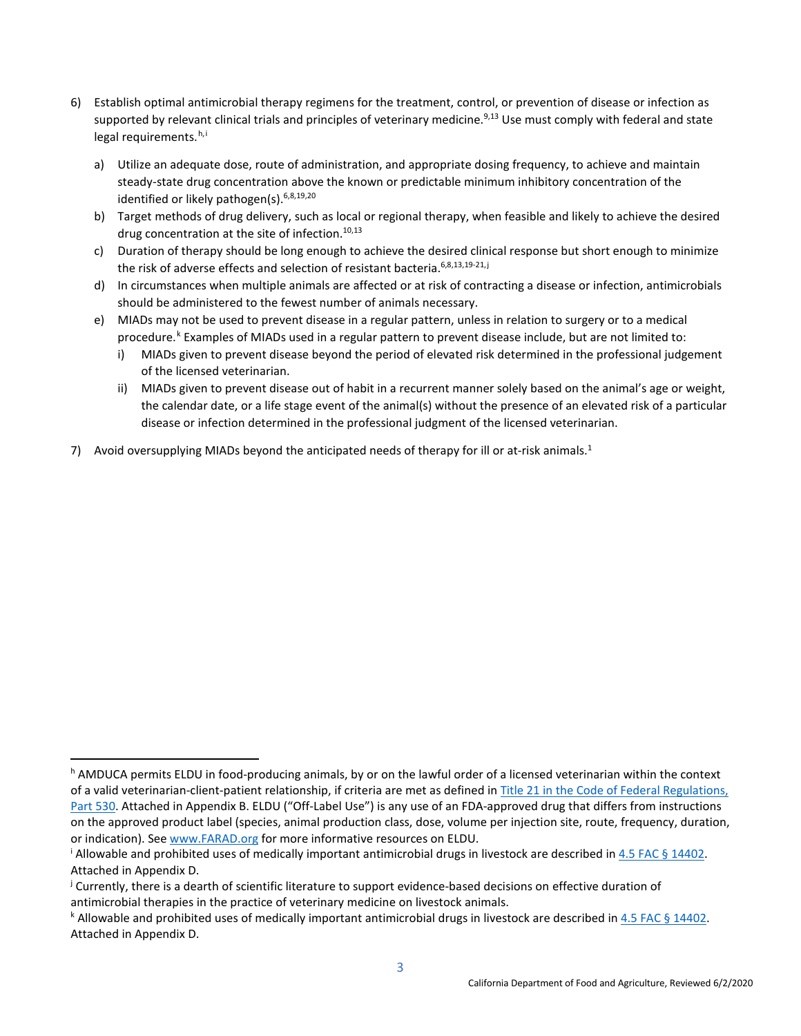- 6) Establish optimal antimicrobial therapy regimens for the treatment, control, or prevention of disease or infection as supported by relevant clinical trials and principles of veterinary medicine.<sup>9,13</sup> Use must comply with federal and state legal requirements. $h, i$  $h, i$ 
	- a) Utilize an adequate dose, route of administration, and appropriate dosing frequency, to achieve and maintain steady-state drug concentration above the known or predictable minimum inhibitory concentration of the identified or likely pathogen(s).<sup>6,8,19,20</sup>
	- b) Target methods of drug delivery, such as local or regional therapy, when feasible and likely to achieve the desired drug concentration at the site of infection.<sup>10,13</sup>
	- c) Duration of therapy should be long enough to achieve the desired clinical response but short enough to minimize the risk of adverse effects and selection of resistant bacteria. 6,8,13,19-21,[j](#page-2-2)
	- d) In circumstances when multiple animals are affected or at risk of contracting a disease or infection, antimicrobials should be administered to the fewest number of animals necessary.
	- e) MIADs may not be used to prevent disease in a regular pattern, unless in relation to surgery or to a medical procedure.<sup>[k](#page-2-3)</sup> Examples of MIADs used in a regular pattern to prevent disease include, but are not limited to:
		- i) MIADs given to prevent disease beyond the period of elevated risk determined in the professional judgement of the licensed veterinarian.
		- ii) MIADs given to prevent disease out of habit in a recurrent manner solely based on the animal's age or weight, the calendar date, or a life stage event of the animal(s) without the presence of an elevated risk of a particular disease or infection determined in the professional judgment of the licensed veterinarian.
- 7) Avoid oversupplying MIADs beyond the anticipated needs of therapy for ill or at-risk animals.<sup>1</sup>

<span id="page-2-0"></span>h AMDUCA permits ELDU in food-producing animals, by or on the lawful order of a licensed veterinarian within the context of a valid veterinarian-client-patient relationship, if criteria are met as defined i[n Title 21 in the Code of Federal Regulations,](https://www.ecfr.gov/cgi-bin/text-idx?SID=3fba2570d1166f25cadaa2e0065b7e95&mc=true&node=pt21.6.530&rgn=div5)  [Part 530.](https://www.ecfr.gov/cgi-bin/text-idx?SID=3fba2570d1166f25cadaa2e0065b7e95&mc=true&node=pt21.6.530&rgn=div5) Attached in Appendix B. ELDU ("Off-Label Use") is any use of an FDA-approved drug that differs from instructions on the approved product label (species, animal production class, dose, volume per injection site, route, frequency, duration,

<span id="page-2-1"></span>or indication). See [www.FARAD.org f](http://www.farad.org/)or more informative resources on ELDU.<br><sup>i</sup> Allowable and prohibited uses of medically important antimicrobial drugs in livestock are described in [4.5 FAC § 14402.](http://leginfo.legislature.ca.gov/faces/codes_displayText.xhtml?lawCode=FAC&division=7.&title=&part=&chapter=4.5.&article) Attached in Appendix D.

<span id="page-2-2"></span><sup>&</sup>lt;sup>j</sup> Currently, there is a dearth of scientific literature to support evidence-based decisions on effective duration of antimicrobial therapies in the practice of veterinary medicine on livestock animals.

<span id="page-2-3"></span>k Allowable and prohibited uses of medically important antimicrobial drugs in livestock are described i[n 4.5 FAC § 14402.](http://leginfo.legislature.ca.gov/faces/codes_displayText.xhtml?lawCode=FAC&division=7.&title=&part=&chapter=4.5.&article) Attached in Appendix D.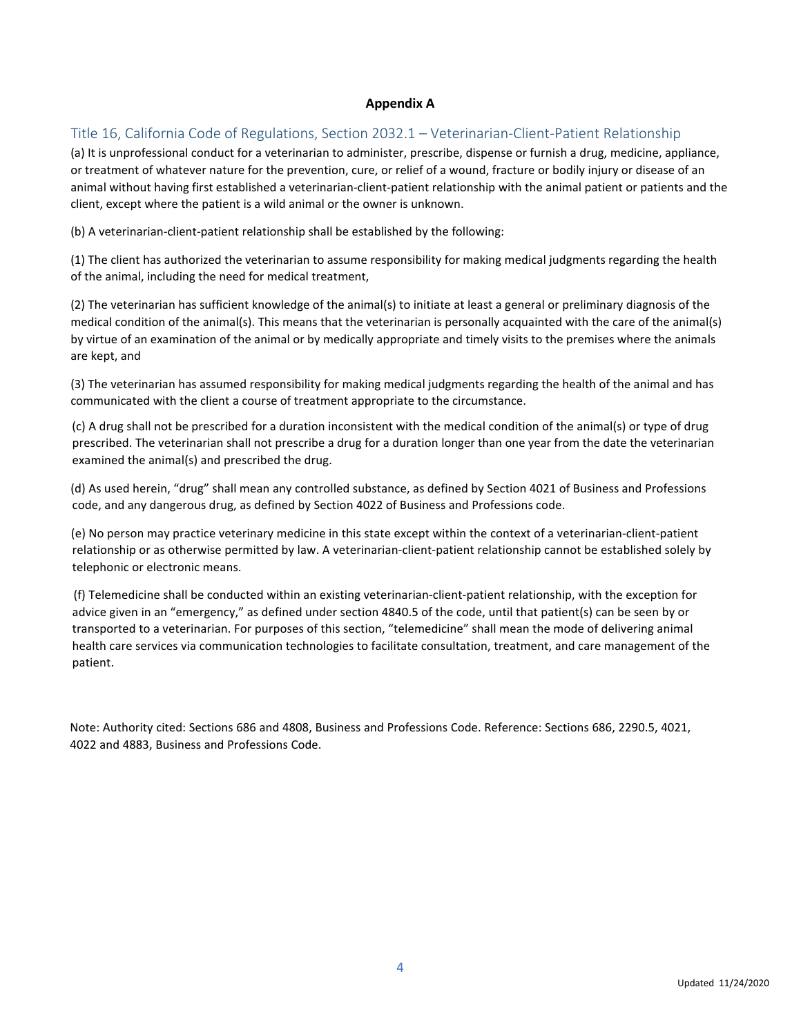## **Appendix A**

# Title [16, California Code of Regulations, Section 2032.1 – Veterinarian-Client-Patient Relationship](https://govt.westlaw.com/calregs/Document/I36A945193D474BD7B5EDAA3EB2771937?viewType=FullText&originationContext=documenttoc&transitionType=CategoryPageItem&contextData=(sc.Default)&bhcp=1)

(a) It is unprofessional conduct for a veterinarian to administer, prescribe, dispense or furnish a drug, medicine, appliance, or treatment of whatever nature for the prevention, cure, or relief of a wound, fracture or bodily injury or disease of an animal without having first established a veterinarian-client-patient relationship with the animal patient or patients and the client, except where the patient is a wild animal or the owner is unknown.

(b) A veterinarian-client-patient relationship shall be established by the following:

(1) The client has authorized the veterinarian to assume responsibility for making medical judgments regarding the health of the animal, including the need for medical treatment,

(2) The veterinarian has sufficient knowledge of the animal(s) to initiate at least a general or preliminary diagnosis of the medical condition of the animal(s). This means that the veterinarian is personally acquainted with the care of the animal(s) by virtue of an examination of the animal or by medically appropriate and timely visits to the premises where the animals are kept, and

(3) The veterinarian has assumed responsibility for making medical judgments regarding the health of the animal and has communicated with the client a course of treatment appropriate to the circumstance.

(c) A drug shall not be prescribed for a duration inconsistent with the medical condition of the animal(s) or type of drug prescribed. The veterinarian shall not prescribe a drug for a duration longer than one year from the date the veterinarian examined the animal(s) and prescribed the drug.

(d) As used herein, "drug" shall mean any controlled substance, as defined by Section 4021 of Business and Professions code, and any dangerous drug, as defined by Section 4022 of Business and Professions code.

(e) No person may practice veterinary medicine in this state except within the context of a veterinarian-client-patient relationship or as otherwise permitted by law. A veterinarian-client-patient relationship cannot be established solely by telephonic or electronic means.

 health care services via communication technologies to facilitate consultation, treatment, and care management of the (f) Telemedicine shall be conducted within an existing veterinarian-client-patient relationship, with the exception for advice given in an "emergency," as defined under section 4840.5 of the code, until that patient(s) can be seen by or transported to a veterinarian. For purposes of this section, "telemedicine" shall mean the mode of delivering animal patient.

Note: Authority cited: Sections 686 and 4808, Business and Professions Code. Reference: Sections 686, 2290.5, 4021, 4022 and 4883, Business and Professions Code.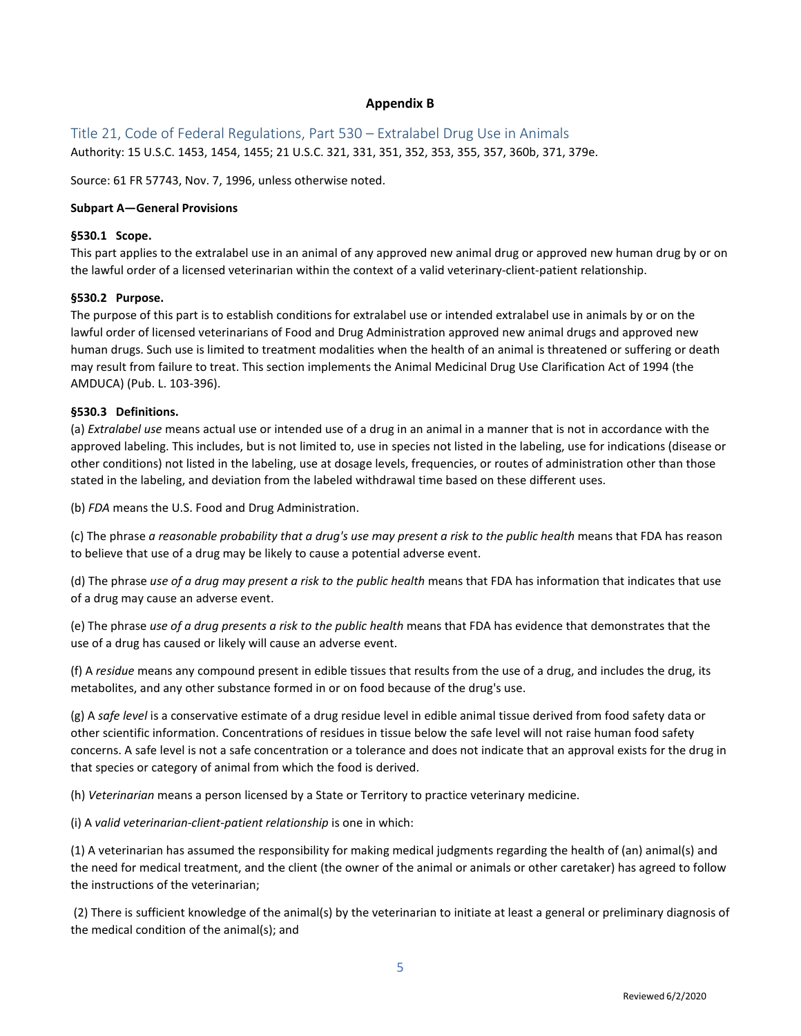# **Appendix B**

# [Title 21, Code of Federal Regulations, Part 530 – Extralabel Drug Use in Animals](https://www.ecfr.gov/cgi-bin/text-idx?SID=054808d261de27898e02fb175b7c9ff9&node=21:6.0.1.1.16&rgn=div5#se21.6.530_111)

Authority: 15 U.S.C. 1453, 1454, 1455; 21 U.S.C. 321, 331, 351, 352, 353, 355, 357, 360b, 371, 379e.

Source: 61 FR 57743, Nov. 7, 1996, unless otherwise noted.

## **Subpart A—General Provisions**

## **§530.1 Scope.**

This part applies to the extralabel use in an animal of any approved new animal drug or approved new human drug by or on the lawful order of a licensed veterinarian within the context of a valid veterinary-client-patient relationship.

#### **§530.2 Purpose.**

The purpose of this part is to establish conditions for extralabel use or intended extralabel use in animals by or on the lawful order of licensed veterinarians of Food and Drug Administration approved new animal drugs and approved new human drugs. Such use is limited to treatment modalities when the health of an animal is threatened or suffering or death may result from failure to treat. This section implements the Animal Medicinal Drug Use Clarification Act of 1994 (the AMDUCA) (Pub. L. 103-396).

#### **§530.3 Definitions.**

(a) *Extralabel use* means actual use or intended use of a drug in an animal in a manner that is not in accordance with the approved labeling. This includes, but is not limited to, use in species not listed in the labeling, use for indications (disease or other conditions) not listed in the labeling, use at dosage levels, frequencies, or routes of administration other than those stated in the labeling, and deviation from the labeled withdrawal time based on these different uses.

(b) *FDA* means the U.S. Food and Drug Administration.

(c) The phrase *a reasonable probability that a drug's use may present a risk to the public health* means that FDA has reason to believe that use of a drug may be likely to cause a potential adverse event.

(d) The phrase *use of a drug may present a risk to the public health* means that FDA has information that indicates that use of a drug may cause an adverse event.

(e) The phrase *use of a drug presents a risk to the public health* means that FDA has evidence that demonstrates that the use of a drug has caused or likely will cause an adverse event.

(f) A *residue* means any compound present in edible tissues that results from the use of a drug, and includes the drug, its metabolites, and any other substance formed in or on food because of the drug's use.

(g) A *safe level* is a conservative estimate of a drug residue level in edible animal tissue derived from food safety data or other scientific information. Concentrations of residues in tissue below the safe level will not raise human food safety concerns. A safe level is not a safe concentration or a tolerance and does not indicate that an approval exists for the drug in that species or category of animal from which the food is derived.

(h) *Veterinarian* means a person licensed by a State or Territory to practice veterinary medicine.

(i) A *valid veterinarian-client-patient relationship* is one in which:

(1) A veterinarian has assumed the responsibility for making medical judgments regarding the health of (an) animal(s) and the need for medical treatment, and the client (the owner of the animal or animals or other caretaker) has agreed to follow the instructions of the veterinarian;

(2) There is sufficient knowledge of the animal(s) by the veterinarian to initiate at least a general or preliminary diagnosis of the medical condition of the animal(s); and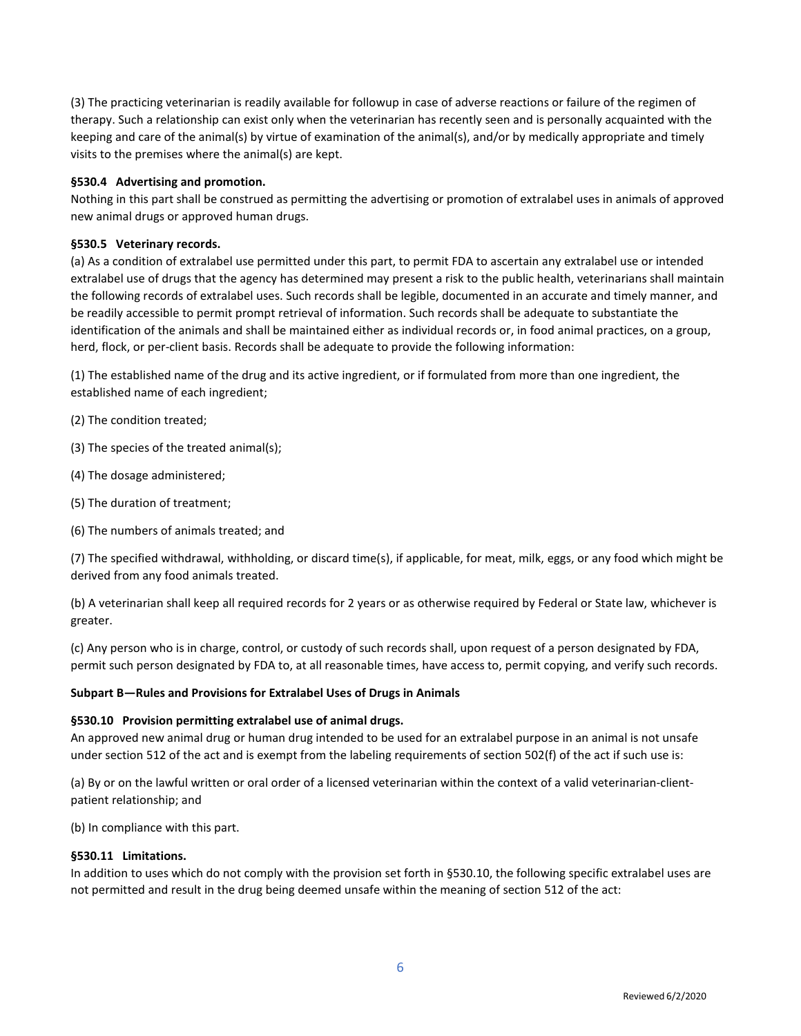(3) The practicing veterinarian is readily available for followup in case of adverse reactions or failure of the regimen of therapy. Such a relationship can exist only when the veterinarian has recently seen and is personally acquainted with the keeping and care of the animal(s) by virtue of examination of the animal(s), and/or by medically appropriate and timely visits to the premises where the animal(s) are kept.

# **§530.4 Advertising and promotion.**

Nothing in this part shall be construed as permitting the advertising or promotion of extralabel uses in animals of approved new animal drugs or approved human drugs.

#### **§530.5 Veterinary records.**

(a) As a condition of extralabel use permitted under this part, to permit FDA to ascertain any extralabel use or intended extralabel use of drugs that the agency has determined may present a risk to the public health, veterinarians shall maintain the following records of extralabel uses. Such records shall be legible, documented in an accurate and timely manner, and be readily accessible to permit prompt retrieval of information. Such records shall be adequate to substantiate the identification of the animals and shall be maintained either as individual records or, in food animal practices, on a group, herd, flock, or per-client basis. Records shall be adequate to provide the following information:

(1) The established name of the drug and its active ingredient, or if formulated from more than one ingredient, the established name of each ingredient;

- (2) The condition treated;
- (3) The species of the treated animal(s);
- (4) The dosage administered;
- (5) The duration of treatment;
- (6) The numbers of animals treated; and

(7) The specified withdrawal, withholding, or discard time(s), if applicable, for meat, milk, eggs, or any food which might be derived from any food animals treated.

(b) A veterinarian shall keep all required records for 2 years or as otherwise required by Federal or State law, whichever is greater.

(c) Any person who is in charge, control, or custody of such records shall, upon request of a person designated by FDA, permit such person designated by FDA to, at all reasonable times, have access to, permit copying, and verify such records.

#### **Subpart B—Rules and Provisions for Extralabel Uses of Drugs in Animals**

#### **§530.10 Provision permitting extralabel use of animal drugs.**

An approved new animal drug or human drug intended to be used for an extralabel purpose in an animal is not unsafe under section 512 of the act and is exempt from the labeling requirements of section 502(f) of the act if such use is:

(a) By or on the lawful written or oral order of a licensed veterinarian within the context of a valid veterinarian-clientpatient relationship; and

(b) In compliance with this part.

#### **§530.11 Limitations.**

In addition to uses which do not comply with the provision set forth in §530.10, the following specific extralabel uses are not permitted and result in the drug being deemed unsafe within the meaning of section 512 of the act: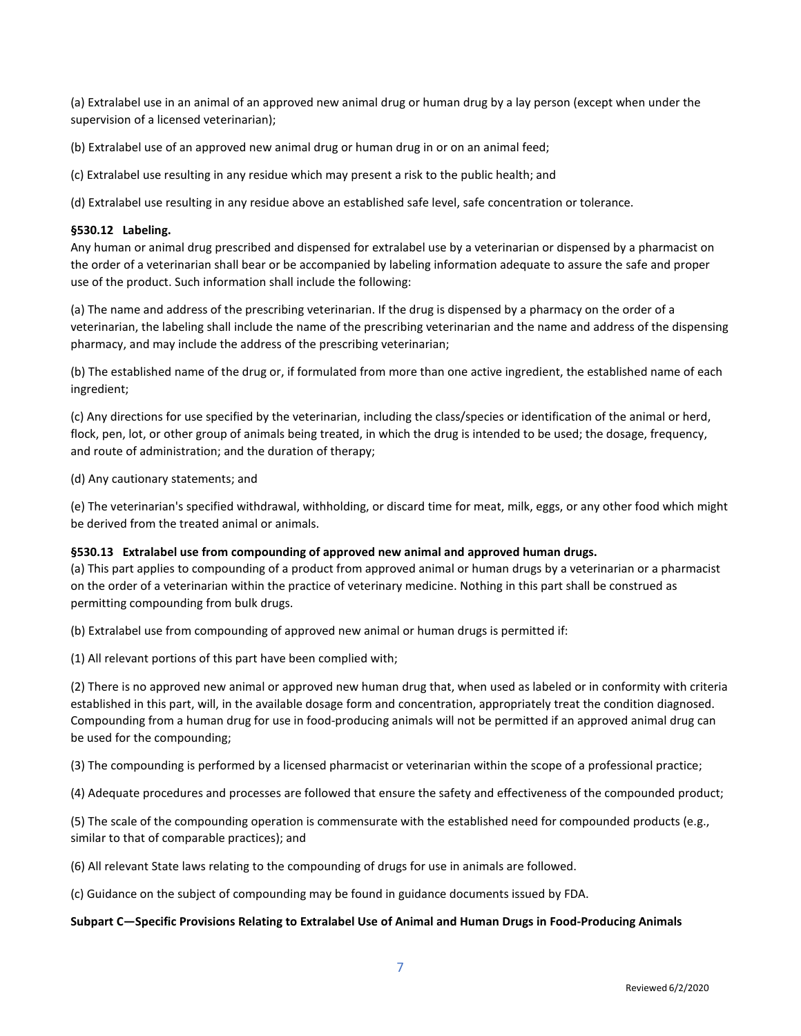(a) Extralabel use in an animal of an approved new animal drug or human drug by a lay person (except when under the supervision of a licensed veterinarian);

(b) Extralabel use of an approved new animal drug or human drug in or on an animal feed;

(c) Extralabel use resulting in any residue which may present a risk to the public health; and

(d) Extralabel use resulting in any residue above an established safe level, safe concentration or tolerance.

#### **§530.12 Labeling.**

Any human or animal drug prescribed and dispensed for extralabel use by a veterinarian or dispensed by a pharmacist on the order of a veterinarian shall bear or be accompanied by labeling information adequate to assure the safe and proper use of the product. Such information shall include the following:

(a) The name and address of the prescribing veterinarian. If the drug is dispensed by a pharmacy on the order of a veterinarian, the labeling shall include the name of the prescribing veterinarian and the name and address of the dispensing pharmacy, and may include the address of the prescribing veterinarian;

(b) The established name of the drug or, if formulated from more than one active ingredient, the established name of each ingredient;

(c) Any directions for use specified by the veterinarian, including the class/species or identification of the animal or herd, flock, pen, lot, or other group of animals being treated, in which the drug is intended to be used; the dosage, frequency, and route of administration; and the duration of therapy;

(d) Any cautionary statements; and

(e) The veterinarian's specified withdrawal, withholding, or discard time for meat, milk, eggs, or any other food which might be derived from the treated animal or animals.

#### **§530.13 Extralabel use from compounding of approved new animal and approved human drugs.**

(a) This part applies to compounding of a product from approved animal or human drugs by a veterinarian or a pharmacist on the order of a veterinarian within the practice of veterinary medicine. Nothing in this part shall be construed as permitting compounding from bulk drugs.

(b) Extralabel use from compounding of approved new animal or human drugs is permitted if:

(1) All relevant portions of this part have been complied with;

(2) There is no approved new animal or approved new human drug that, when used as labeled or in conformity with criteria established in this part, will, in the available dosage form and concentration, appropriately treat the condition diagnosed. Compounding from a human drug for use in food-producing animals will not be permitted if an approved animal drug can be used for the compounding;

(3) The compounding is performed by a licensed pharmacist or veterinarian within the scope of a professional practice;

(4) Adequate procedures and processes are followed that ensure the safety and effectiveness of the compounded product;

(5) The scale of the compounding operation is commensurate with the established need for compounded products (e.g., similar to that of comparable practices); and

(6) All relevant State laws relating to the compounding of drugs for use in animals are followed.

(c) Guidance on the subject of compounding may be found in guidance documents issued by FDA.

#### **Subpart C—Specific Provisions Relating to Extralabel Use of Animal and Human Drugs in Food-Producing Animals**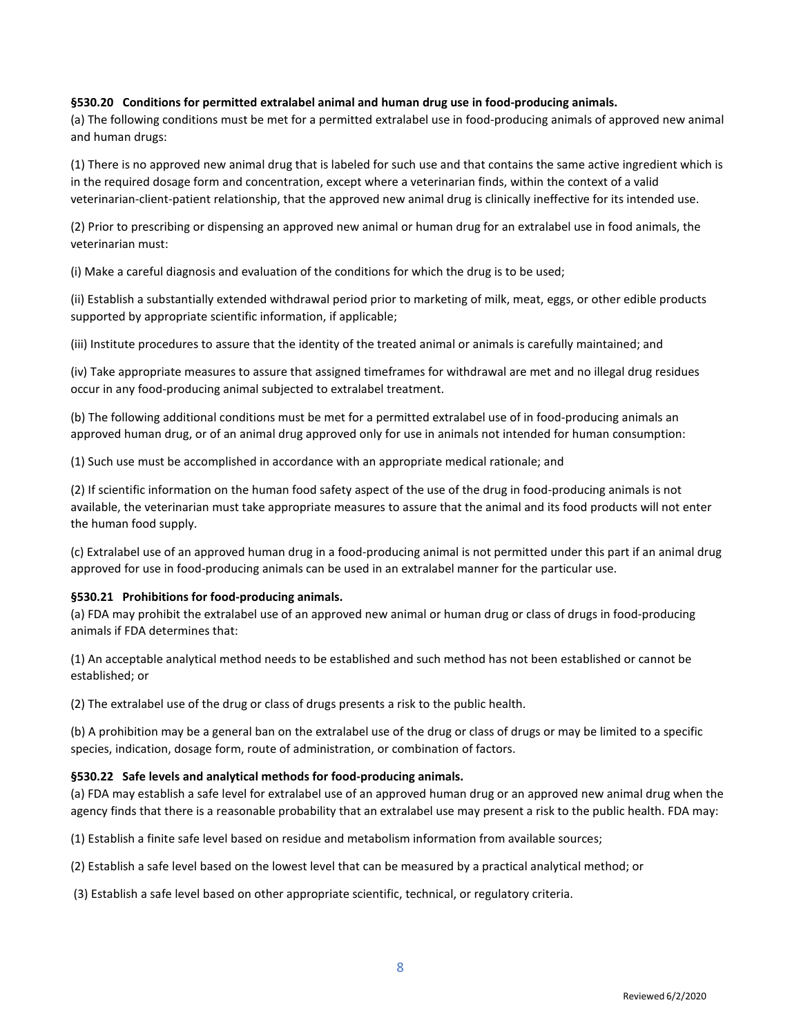#### **§530.20 Conditions for permitted extralabel animal and human drug use in food-producing animals.**

(a) The following conditions must be met for a permitted extralabel use in food-producing animals of approved new animal and human drugs:

(1) There is no approved new animal drug that is labeled for such use and that contains the same active ingredient which is in the required dosage form and concentration, except where a veterinarian finds, within the context of a valid veterinarian-client-patient relationship, that the approved new animal drug is clinically ineffective for its intended use.

(2) Prior to prescribing or dispensing an approved new animal or human drug for an extralabel use in food animals, the veterinarian must:

(i) Make a careful diagnosis and evaluation of the conditions for which the drug is to be used;

(ii) Establish a substantially extended withdrawal period prior to marketing of milk, meat, eggs, or other edible products supported by appropriate scientific information, if applicable;

(iii) Institute procedures to assure that the identity of the treated animal or animals is carefully maintained; and

(iv) Take appropriate measures to assure that assigned timeframes for withdrawal are met and no illegal drug residues occur in any food-producing animal subjected to extralabel treatment.

(b) The following additional conditions must be met for a permitted extralabel use of in food-producing animals an approved human drug, or of an animal drug approved only for use in animals not intended for human consumption:

(1) Such use must be accomplished in accordance with an appropriate medical rationale; and

(2) If scientific information on the human food safety aspect of the use of the drug in food-producing animals is not available, the veterinarian must take appropriate measures to assure that the animal and its food products will not enter the human food supply.

(c) Extralabel use of an approved human drug in a food-producing animal is not permitted under this part if an animal drug approved for use in food-producing animals can be used in an extralabel manner for the particular use.

# **§530.21 Prohibitions for food-producing animals.**

(a) FDA may prohibit the extralabel use of an approved new animal or human drug or class of drugs in food-producing animals if FDA determines that:

(1) An acceptable analytical method needs to be established and such method has not been established or cannot be established; or

(2) The extralabel use of the drug or class of drugs presents a risk to the public health.

(b) A prohibition may be a general ban on the extralabel use of the drug or class of drugs or may be limited to a specific species, indication, dosage form, route of administration, or combination of factors.

#### **§530.22 Safe levels and analytical methods for food-producing animals.**

(a) FDA may establish a safe level for extralabel use of an approved human drug or an approved new animal drug when the agency finds that there is a reasonable probability that an extralabel use may present a risk to the public health. FDA may:

(1) Establish a finite safe level based on residue and metabolism information from available sources;

(2) Establish a safe level based on the lowest level that can be measured by a practical analytical method; or

(3) Establish a safe level based on other appropriate scientific, technical, or regulatory criteria.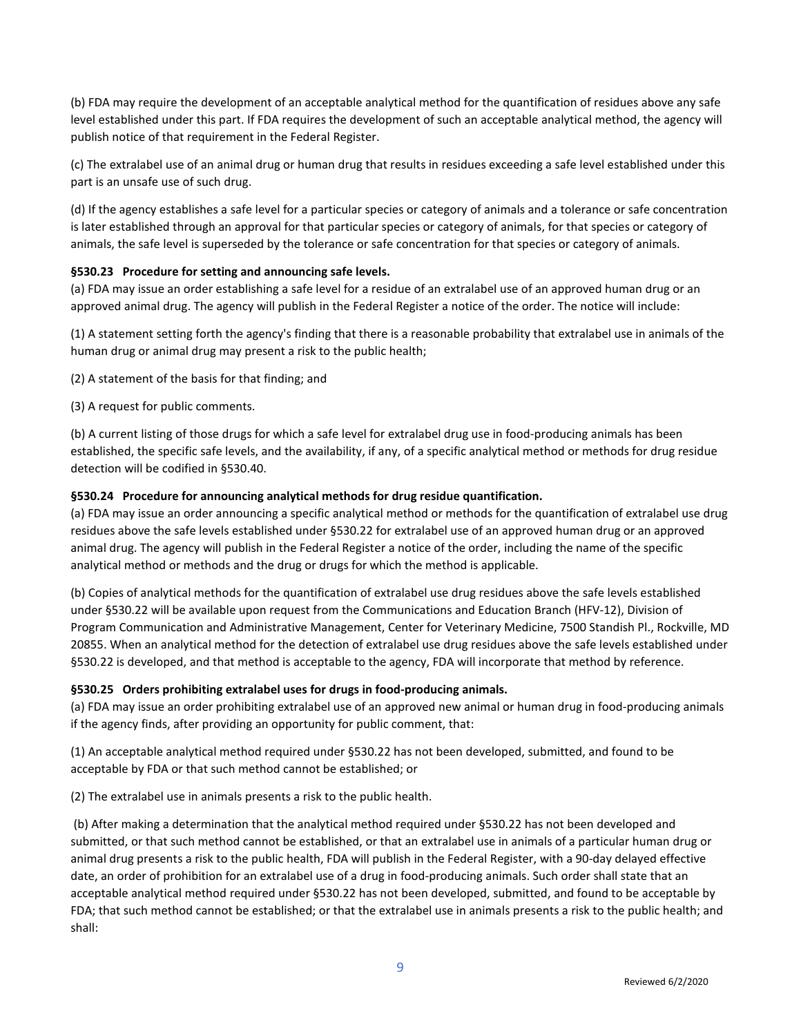(b) FDA may require the development of an acceptable analytical method for the quantification of residues above any safe level established under this part. If FDA requires the development of such an acceptable analytical method, the agency will publish notice of that requirement in the Federal Register.

(c) The extralabel use of an animal drug or human drug that results in residues exceeding a safe level established under this part is an unsafe use of such drug.

(d) If the agency establishes a safe level for a particular species or category of animals and a tolerance or safe concentration is later established through an approval for that particular species or category of animals, for that species or category of animals, the safe level is superseded by the tolerance or safe concentration for that species or category of animals.

# **§530.23 Procedure for setting and announcing safe levels.**

(a) FDA may issue an order establishing a safe level for a residue of an extralabel use of an approved human drug or an approved animal drug. The agency will publish in the Federal Register a notice of the order. The notice will include:

(1) A statement setting forth the agency's finding that there is a reasonable probability that extralabel use in animals of the human drug or animal drug may present a risk to the public health;

- (2) A statement of the basis for that finding; and
- (3) A request for public comments.

(b) A current listing of those drugs for which a safe level for extralabel drug use in food-producing animals has been established, the specific safe levels, and the availability, if any, of a specific analytical method or methods for drug residue detection will be codified in §530.40.

# **§530.24 Procedure for announcing analytical methods for drug residue quantification.**

(a) FDA may issue an order announcing a specific analytical method or methods for the quantification of extralabel use drug residues above the safe levels established under §530.22 for extralabel use of an approved human drug or an approved animal drug. The agency will publish in the Federal Register a notice of the order, including the name of the specific analytical method or methods and the drug or drugs for which the method is applicable.

(b) Copies of analytical methods for the quantification of extralabel use drug residues above the safe levels established under §530.22 will be available upon request from the Communications and Education Branch (HFV-12), Division of Program Communication and Administrative Management, Center for Veterinary Medicine, 7500 Standish Pl., Rockville, MD 20855. When an analytical method for the detection of extralabel use drug residues above the safe levels established under §530.22 is developed, and that method is acceptable to the agency, FDA will incorporate that method by reference.

# **§530.25 Orders prohibiting extralabel uses for drugs in food-producing animals.**

(a) FDA may issue an order prohibiting extralabel use of an approved new animal or human drug in food-producing animals if the agency finds, after providing an opportunity for public comment, that:

(1) An acceptable analytical method required under §530.22 has not been developed, submitted, and found to be acceptable by FDA or that such method cannot be established; or

(2) The extralabel use in animals presents a risk to the public health.

(b) After making a determination that the analytical method required under §530.22 has not been developed and submitted, or that such method cannot be established, or that an extralabel use in animals of a particular human drug or animal drug presents a risk to the public health, FDA will publish in the Federal Register, with a 90-day delayed effective date, an order of prohibition for an extralabel use of a drug in food-producing animals. Such order shall state that an acceptable analytical method required under §530.22 has not been developed, submitted, and found to be acceptable by FDA; that such method cannot be established; or that the extralabel use in animals presents a risk to the public health; and shall: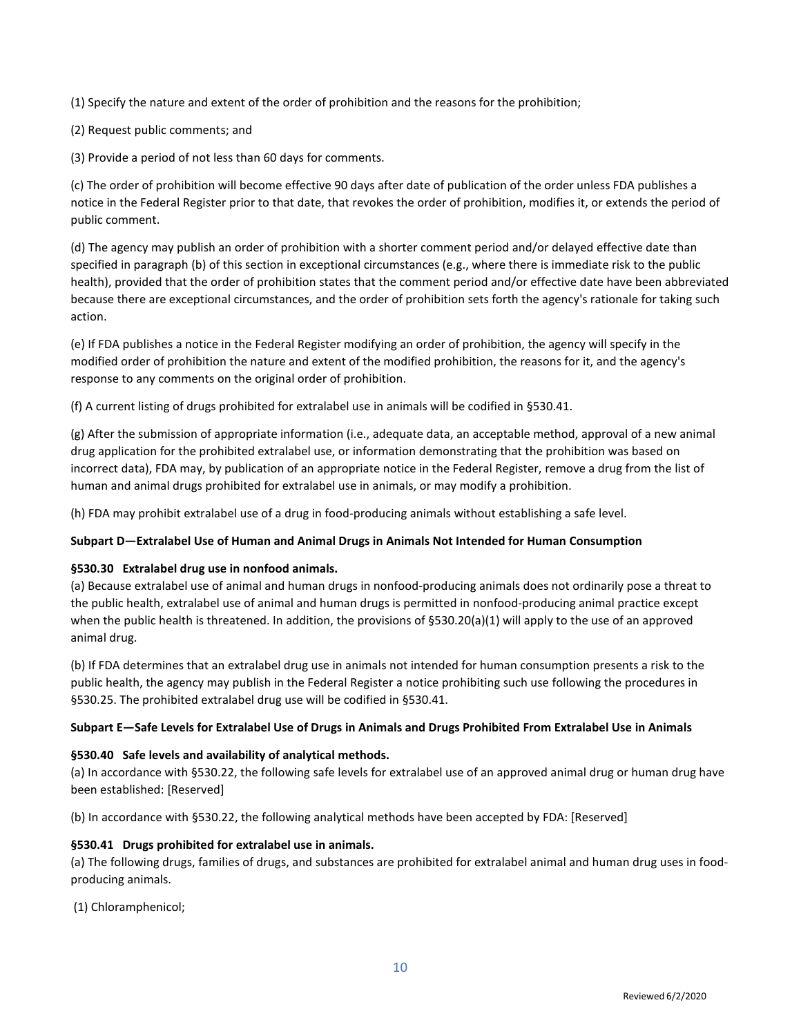(1) Specify the nature and extent of the order of prohibition and the reasons for the prohibition;

(2) Request public comments; and

(3) Provide a period of not less than 60 days for comments.

(c) The order of prohibition will become effective 90 days after date of publication of the order unless FDA publishes a notice in the Federal Register prior to that date, that revokes the order of prohibition, modifies it, or extends the period of public comment.

(d) The agency may publish an order of prohibition with a shorter comment period and/or delayed effective date than specified in paragraph (b) of this section in exceptional circumstances (e.g., where there is immediate risk to the public health), provided that the order of prohibition states that the comment period and/or effective date have been abbreviated because there are exceptional circumstances, and the order of prohibition sets forth the agency's rationale for taking such action.

(e) If FDA publishes a notice in the Federal Register modifying an order of prohibition, the agency will specify in the modified order of prohibition the nature and extent of the modified prohibition, the reasons for it, and the agency's response to any comments on the original order of prohibition.

(f) A current listing of drugs prohibited for extralabel use in animals will be codified in §530.41.

(g) After the submission of appropriate information (i.e., adequate data, an acceptable method, approval of a new animal drug application for the prohibited extralabel use, or information demonstrating that the prohibition was based on incorrect data), FDA may, by publication of an appropriate notice in the Federal Register, remove a drug from the list of human and animal drugs prohibited for extralabel use in animals, or may modify a prohibition.

(h) FDA may prohibit extralabel use of a drug in food-producing animals without establishing a safe level.

# **Subpart D—Extralabel Use of Human and Animal Drugs in Animals Not Intended for Human Consumption**

# **§530.30 Extralabel drug use in nonfood animals.**

(a) Because extralabel use of animal and human drugs in nonfood-producing animals does not ordinarily pose a threat to the public health, extralabel use of animal and human drugs is permitted in nonfood-producing animal practice except when the public health is threatened. In addition, the provisions of §530.20(a)(1) will apply to the use of an approved animal drug.

(b) If FDA determines that an extralabel drug use in animals not intended for human consumption presents a risk to the public health, the agency may publish in the Federal Register a notice prohibiting such use following the procedures in §530.25. The prohibited extralabel drug use will be codified in §530.41.

# **Subpart E—Safe Levels for Extralabel Use of Drugs in Animals and Drugs Prohibited From Extralabel Use in Animals**

# **§530.40 Safe levels and availability of analytical methods.**

(a) In accordance with §530.22, the following safe levels for extralabel use of an approved animal drug or human drug have been established: [Reserved]

(b) In accordance with §530.22, the following analytical methods have been accepted by FDA: [Reserved]

# **§530.41 Drugs prohibited for extralabel use in animals.**

(a) The following drugs, families of drugs, and substances are prohibited for extralabel animal and human drug uses in foodproducing animals.

(1) Chloramphenicol;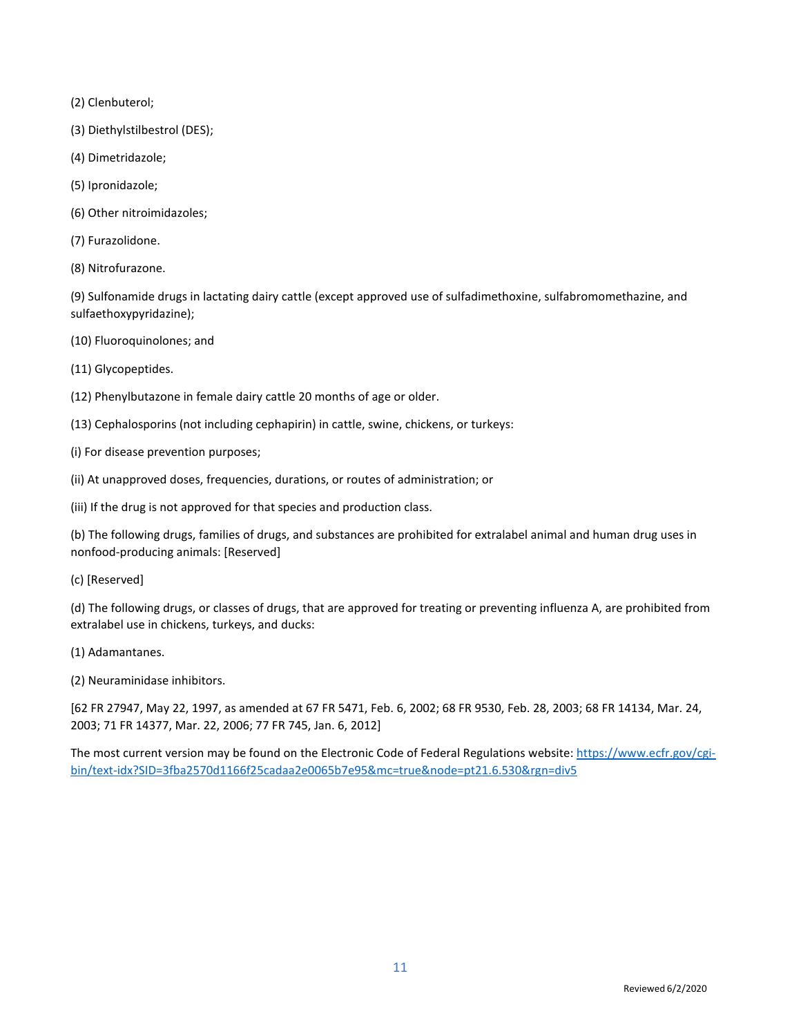- (2) Clenbuterol;
- (3) Diethylstilbestrol (DES);
- (4) Dimetridazole;
- (5) Ipronidazole;
- (6) Other nitroimidazoles;
- (7) Furazolidone.
- (8) Nitrofurazone.

(9) Sulfonamide drugs in lactating dairy cattle (except approved use of sulfadimethoxine, sulfabromomethazine, and sulfaethoxypyridazine);

- (10) Fluoroquinolones; and
- (11) Glycopeptides.
- (12) Phenylbutazone in female dairy cattle 20 months of age or older.
- (13) Cephalosporins (not including cephapirin) in cattle, swine, chickens, or turkeys:
- (i) For disease prevention purposes;
- (ii) At unapproved doses, frequencies, durations, or routes of administration; or
- (iii) If the drug is not approved for that species and production class.

(b) The following drugs, families of drugs, and substances are prohibited for extralabel animal and human drug uses in nonfood-producing animals: [Reserved]

(c) [Reserved]

(d) The following drugs, or classes of drugs, that are approved for treating or preventing influenza A, are prohibited from extralabel use in chickens, turkeys, and ducks:

- (1) Adamantanes.
- (2) Neuraminidase inhibitors.

[62 FR 27947, May 22, 1997, as amended at 67 FR 5471, Feb. 6, 2002; 68 FR 9530, Feb. 28, 2003; 68 FR 14134, Mar. 24, 2003; 71 FR 14377, Mar. 22, 2006; 77 FR 745, Jan. 6, 2012]

The most current version may be found on the Electronic Code of Federal Regulations website: [https://www.ecfr.gov/cgi](https://www.ecfr.gov/cgi-bin/text-idx?SID=3fba2570d1166f25cadaa2e0065b7e95&mc=true&node=pt21.6.530&rgn=div5)[bin/text-idx?SID=3fba2570d1166f25cadaa2e0065b7e95&mc=true&node=pt21.6.530&rgn=div5](https://www.ecfr.gov/cgi-bin/text-idx?SID=3fba2570d1166f25cadaa2e0065b7e95&mc=true&node=pt21.6.530&rgn=div5)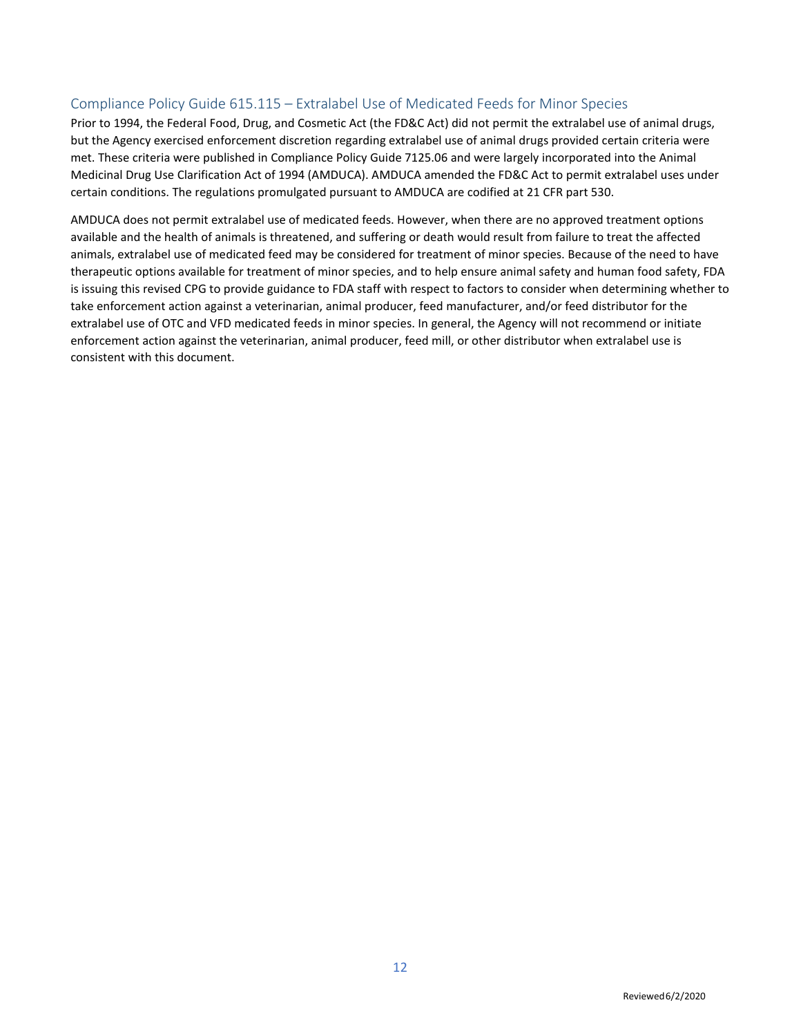# [Compliance Policy Guide 615.115 – Extralabel Use of Medicated Feeds for Minor Species](https://www.fda.gov/regulatory-information/search-fda-guidance-documents/cpg-sec-615115-extralabel-use-medicated-feeds-minor-species)

Prior to 1994, the Federal Food, Drug, and Cosmetic Act (the FD&C Act) did not permit the extralabel use of animal drugs, but the Agency exercised enforcement discretion regarding extralabel use of animal drugs provided certain criteria were met. These criteria were published in Compliance Policy Guide 7125.06 and were largely incorporated into the Animal Medicinal Drug Use Clarification Act of 1994 (AMDUCA). AMDUCA amended the FD&C Act to permit extralabel uses under certain conditions. The regulations promulgated pursuant to AMDUCA are codified at 21 CFR part 530.

AMDUCA does not permit extralabel use of medicated feeds. However, when there are no approved treatment options available and the health of animals is threatened, and suffering or death would result from failure to treat the affected animals, extralabel use of medicated feed may be considered for treatment of minor species. Because of the need to have therapeutic options available for treatment of minor species, and to help ensure animal safety and human food safety, FDA is issuing this revised CPG to provide guidance to FDA staff with respect to factors to consider when determining whether to take enforcement action against a veterinarian, animal producer, feed manufacturer, and/or feed distributor for the extralabel use of OTC and VFD medicated feeds in minor species. In general, the Agency will not recommend or initiate enforcement action against the veterinarian, animal producer, feed mill, or other distributor when extralabel use is consistent with this document.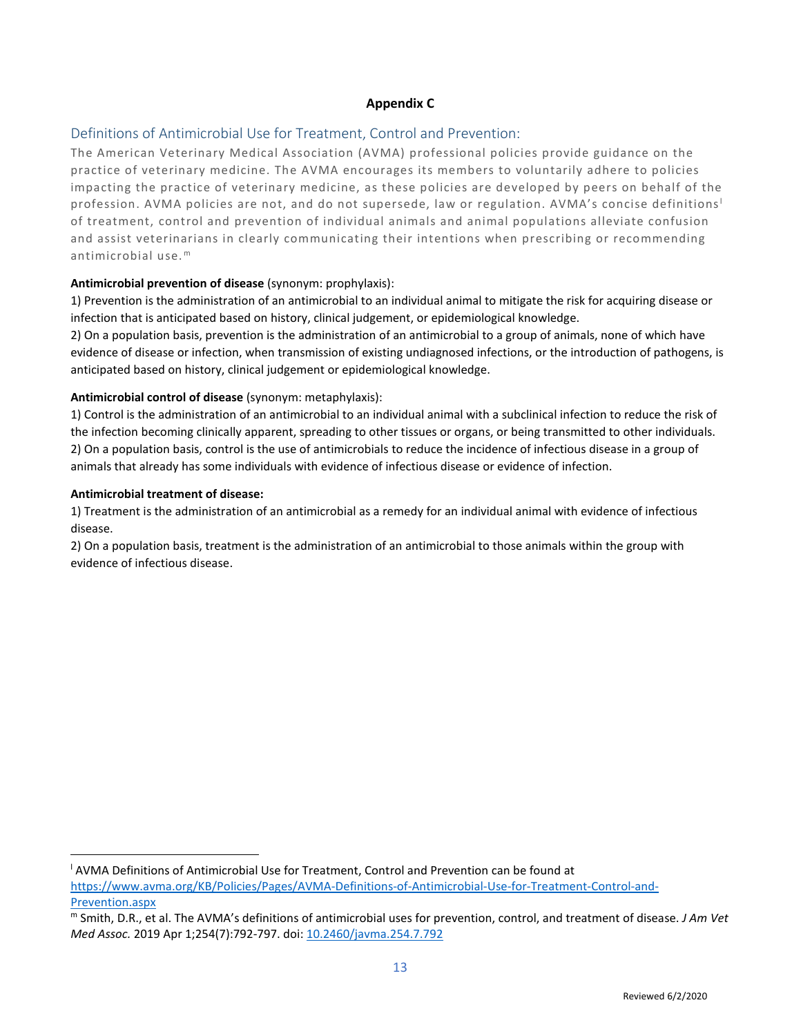# **Appendix C**

# Definitions of Antimicrobial Use for Treatment, Control and Prevention:

The American Veterinary Medical Association (AVMA) professional policies provide guidance on the practice of veterinary medicine. The AVMA encourages its members to voluntarily adhere to policies impacting the practice of veterinary medicine, as these policies are developed by peers on behalf of the profession. AVMA policies are not, and do not supersede, [l](#page-12-0)aw or regulation. AVMA's concise definitions<sup>1</sup> of treatment, control and prevention of individual animals and animal populations alleviate confusion and assist veterinarians in clearly communicating their intentions when prescribing or recommending antimicrobial use. [m](#page-12-1) 

# **Antimicrobial prevention of disease** (synonym: prophylaxis):

1) Prevention is the administration of an antimicrobial to an individual animal to mitigate the risk for acquiring disease or infection that is anticipated based on history, clinical judgement, or epidemiological knowledge.

2) On a population basis, prevention is the administration of an antimicrobial to a group of animals, none of which have evidence of disease or infection, when transmission of existing undiagnosed infections, or the introduction of pathogens, is anticipated based on history, clinical judgement or epidemiological knowledge.

# **Antimicrobial control of disease** (synonym: metaphylaxis):

1) Control is the administration of an antimicrobial to an individual animal with a subclinical infection to reduce the risk of the infection becoming clinically apparent, spreading to other tissues or organs, or being transmitted to other individuals. 2) On a population basis, control is the use of antimicrobials to reduce the incidence of infectious disease in a group of animals that already has some individuals with evidence of infectious disease or evidence of infection.

# **Antimicrobial treatment of disease:**

1) Treatment is the administration of an antimicrobial as a remedy for an individual animal with evidence of infectious disease.

2) On a population basis, treatment is the administration of an antimicrobial to those animals within the group with evidence of infectious disease.

<span id="page-12-0"></span>l AVMA Definitions of Antimicrobial Use for Treatment, Control and Prevention can be found at [https://www.avma.org/KB/Policies/Pages/AVMA-Definitions-of-Antimicrobial-Use-for-Treatment-Control-and-](https://www.avma.org/KB/Policies/Pages/AVMA-Definitions-of-Antimicrobial-Use-for-Treatment-Control-and-Prevention.aspx)[Prevention.aspx](https://www.avma.org/KB/Policies/Pages/AVMA-Definitions-of-Antimicrobial-Use-for-Treatment-Control-and-Prevention.aspx) 

<span id="page-12-1"></span>m Smith, D.R., et al. The AVMA's definitions of antimicrobial uses for prevention, control, and treatment of disease. *J Am Vet Med Assoc.* 2019 Apr 1;254(7):792-797. doi[: 10.2460/javma.254.7.792](https://doi.org/10.2460/javma.254.7.792)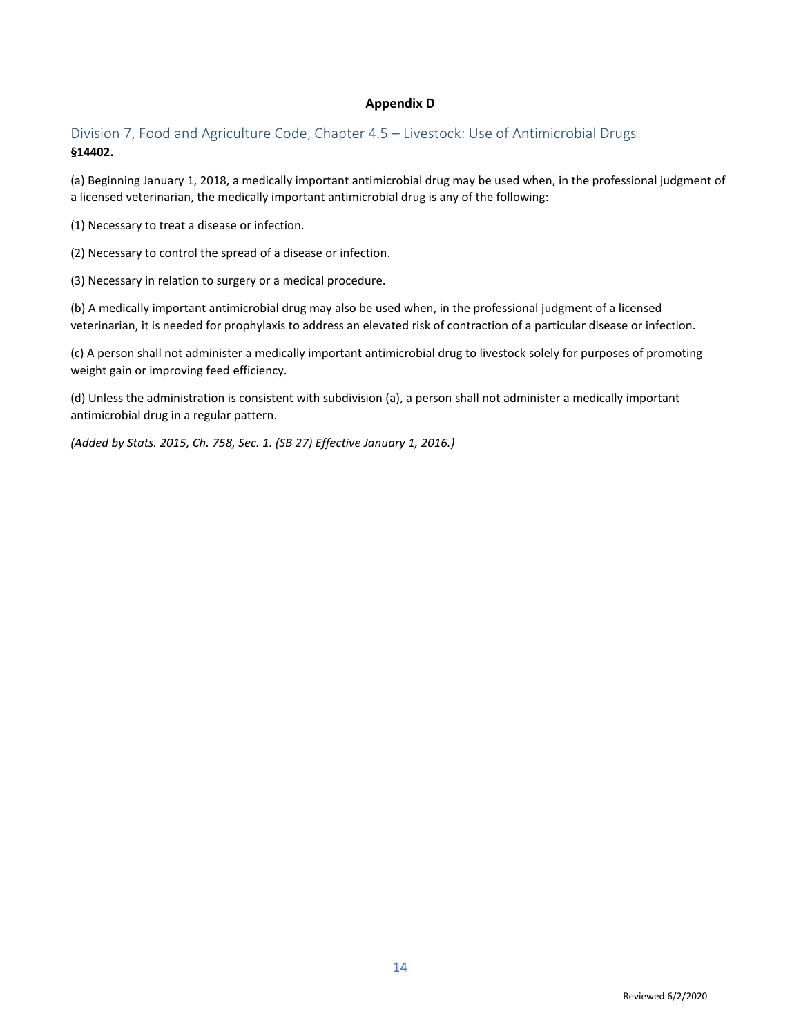## **Appendix D**

# Division [7, Food and Agriculture Code, Chapter 4.5 – Livestock: Use of Antimicrobial Drugs](http://leginfo.legislature.ca.gov/faces/codes_displayText.xhtml?lawCode=FAC&division=7.&title=&part=&chapter=4.5.&article)  **§14402.**

(a) Beginning January 1, 2018, a medically important antimicrobial drug may be used when, in the professional judgment of a licensed veterinarian, the medically important antimicrobial drug is any of the following:

(1) Necessary to treat a disease or infection.

(2) Necessary to control the spread of a disease or infection.

(3) Necessary in relation to surgery or a medical procedure.

(b) A medically important antimicrobial drug may also be used when, in the professional judgment of a licensed veterinarian, it is needed for prophylaxis to address an elevated risk of contraction of a particular disease or infection.

(c) A person shall not administer a medically important antimicrobial drug to livestock solely for purposes of promoting weight gain or improving feed efficiency.

(d) Unless the administration is consistent with subdivision (a), a person shall not administer a medically important antimicrobial drug in a regular pattern.

*(Added by Stats. 2015, Ch. 758, Sec. 1. (SB 27) Effective January 1, 2016.)*